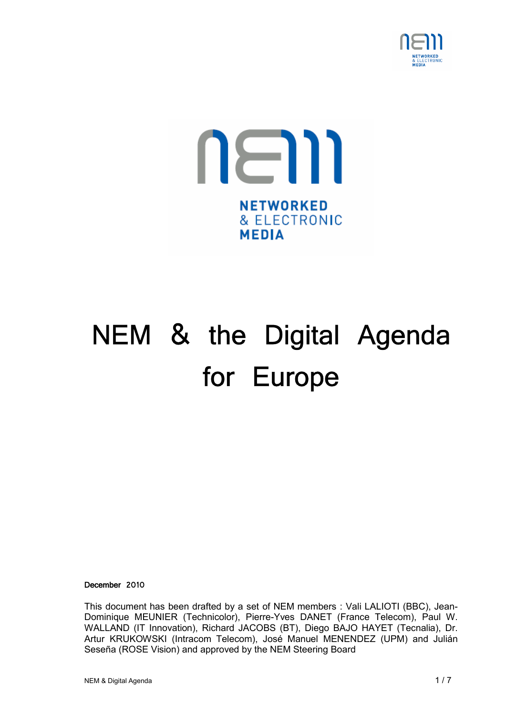



# NEM & the Digital Agenda for Europe

December 2010

This document has been drafted by a set of NEM members : Vali LALIOTI (BBC), Jean-Dominique MEUNIER (Technicolor), Pierre-Yves DANET (France Telecom), Paul W. WALLAND (IT Innovation), Richard JACOBS (BT), Diego BAJO HAYET (Tecnalia), Dr. Artur KRUKOWSKI (Intracom Telecom), José Manuel MENENDEZ (UPM) and Julián Seseña (ROSE Vision) and approved by the NEM Steering Board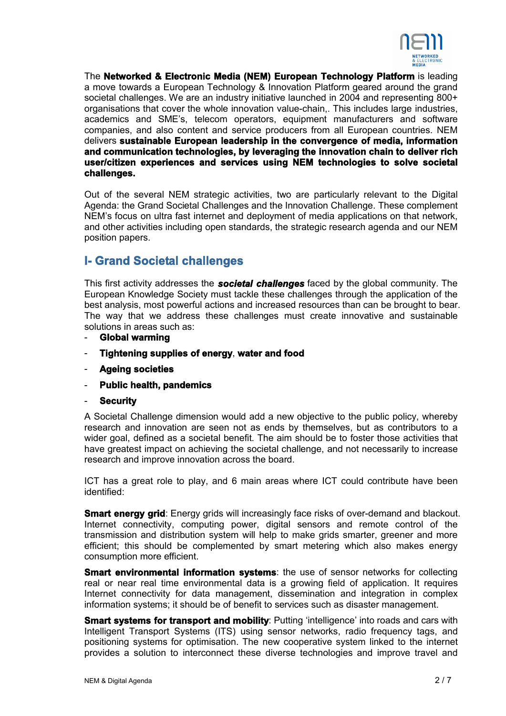

The **Networked & Electronic Media (NEM) European Technology Platform** is leading a move towards a European Technology & Innovation Platform geared around the grand societal challenges. We are an industry initiative launched in 2004 and representing 800+ organisations that cover the whole innovation value-chain,. This includes large industries, academics and SME's, telecom operators, equipment manufacturers and software companies, and also content and service producers from all European countries. NEM delivers **sustainable European leadership in the convergence of media, information and communication technologies, by leveraging the innovation chain to deliver rich user/citizen experiences and services using NEM technologies to solve societal challenges.**

Out of the several NEM strategic activities, two are particularly relevant to the Digital Agenda: the Grand Societal Challenges and the Innovation Challenge. These complement NEM's focus on ultra fast internet and deployment of media applications on that network, and other activities including open standards, the strategic research agenda and our NEM position papers.

# **I- Grand Societal challenges**

This first activity addresses the *societal challenges* faced by the global community. The European Knowledge Society must tackle these challenges through the application of the best analysis, most powerful actions and increased resources than can be brought to bear. The way that we address these challenges must create innovative and sustainable solutions in areas such as:

- **Global warming**
- **Tightening supplies of energy**, **water and food**
- **Ageing societies**
- **Public health, pandemics**
- **Security**

A Societal Challenge dimension would add a new objective to the public policy, whereby research and innovation are seen not as ends by themselves, but as contributors to a wider goal, defined as a societal benefit. The aim should be to foster those activities that have greatest impact on achieving the societal challenge, and not necessarily to increase research and improve innovation across the board.

ICT has a great role to play, and 6 main areas where ICT could contribute have been identified:

**Smart energy grid**: Energy grids will increasingly face risks of over-demand and blackout. Internet connectivity, computing power, digital sensors and remote control of the transmission and distribution system will help to make grids smarter, greener and more efficient; this should be complemented by smart metering which also makes energy consumption more efficient.

**Smart environmental information systems:** the use of sensor networks for collecting real or near real time environmental data is a growing field of application. It requires Internet connectivity for data management, dissemination and integration in complex information systems; it should be of benefit to services such as disaster management.

**Smart systems for transport and mobility**: Putting 'intelligence' into roads and cars with Intelligent Transport Systems (ITS) using sensor networks, radio frequency tags, and positioning systems for optimisation. The new cooperative system linked to the internet provides a solution to interconnect these diverse technologies and improve travel and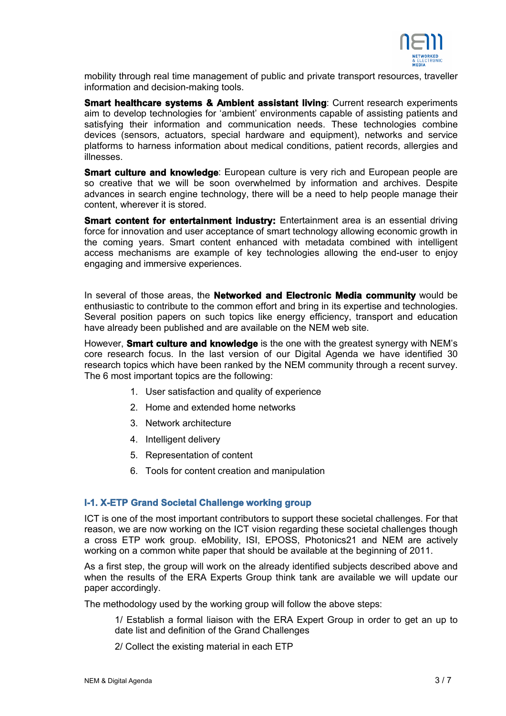

mobility through real time management of public and private transport resources, traveller information and decision-making tools.

**Smart healthcare systems & Ambient assistant living: Current research experiments** aim to develop technologies for 'ambient' environments capable of assisting patients and satisfving their information and communication needs. These technologies combine devices (sensors, actuators, special hardware and equipment), networks and service platforms to harness information about medical conditions, patient records, allergies and illnesses.

**Smart culture and knowledge:** European culture is very rich and European people are so creative that we will be soon overwhelmed by information and archives. Despite advances in search engine technology, there will be a need to help people manage their content, wherever it is stored.

**Smart content for entertainment industry:** Entertainment area is an essential driving force for innovation and user acceptance of smart technology allowing economic growth in the coming years. Smart content enhanced with metadata combined with intelligent access mechanisms are example of key technologies allowing the end-user to enjoy engaging and immersive experiences.

In several of those areas, the **Networked and Electronic Media community** would be enthusiastic to contribute to the common effort and bring in its expertise and technologies. Several position papers on such topics like energy efficiency, transport and education have already been published and are available on the NEM web site.

However, **Smart culture and knowledge** is the one with the greatest synergy with NEM's core research focus. In the last version of our Digital Agenda we have identified 30 research topics which have been ranked by the NEM community through a recent survey. The 6 most important topics are the following:

- 1. User satisfaction and quality of experience
- 2. Home and extended home networks
- 3. Network architecture
- 4. Intelligent delivery
- 5. Representation of content
- 6. Tools for content creation and manipulation

# **I-1. X-ETP Grand Societal Challenge working group**

ICT is one of the most important contributors to support these societal challenges. For that reason, we are now working on the ICT vision regarding these societal challenges though a cross ETP work group. eMobility, ISI, EPOSS, Photonics21 and NEM are actively working on a common white paper that should be available at the beginning of 2011.

As a first step, the group will work on the already identified subjects described above and when the results of the ERA Experts Group think tank are available we will update our paper accordingly.

The methodology used by the working group will follow the above steps:

- 1/ Establish a formal liaison with the ERA Expert Group in order to get an up to date list and definition of the Grand Challenges
- 2/ Collect the existing material in each ETP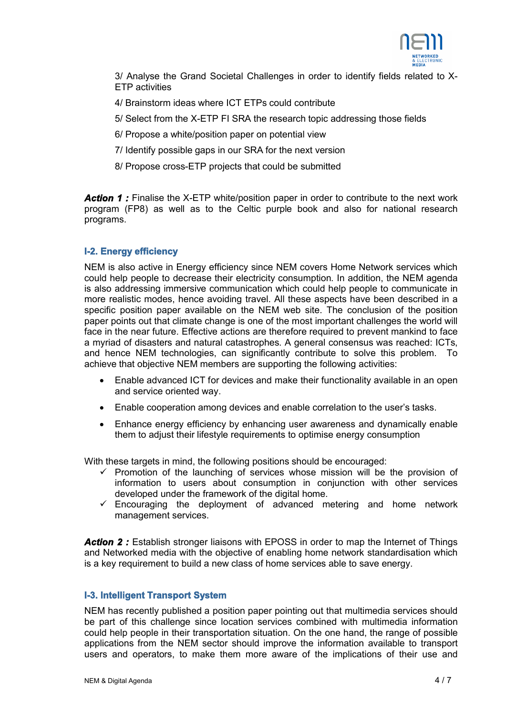

3/ Analyse the Grand Societal Challenges in order to identify fields related to X-ETP activities

- 4/ Brainstorm ideas where ICT ETPs could contribute
- 5/ Select from the X-ETP FI SRA the research topic addressing those fields
- 6/ Propose a white/position paper on potential view
- 7/ Identify possible gaps in our SRA for the next version
- 8/ Propose cross-ETP projects that could be submitted

**Action 1:** Finalise the X-ETP white/position paper in order to contribute to the next work program (FP8) as well as to the Celtic purple book and also for national research programs.

## **I-2. Energy efficiency**

NEM is also active in Energy efficiency since NEM covers Home Network services which could help people to decrease their electricity consumption. In addition, the NEM agenda is also addressing immersive communication which could help people to communicate in more realistic modes, hence avoiding travel. All these aspects have been described in a specific position paper available on the NEM web site. The conclusion of the position paper points out that climate change is one of the most important challenges the world will face in the near future. Effective actions are therefore required to prevent mankind to face a myriad of disasters and natural catastrophes. A general consensus was reached: ICTs, and hence NEM technologies, can significantly contribute to solve this problem. To achieve that objective NEM members are supporting the following activities:

- Enable advanced ICT for devices and make their functionality available in an open and service oriented way.
- Enable cooperation among devices and enable correlation to the user's tasks.
- Enhance energy efficiency by enhancing user awareness and dynamically enable them to adjust their lifestyle requirements to optimise energy consumption

With these targets in mind, the following positions should be encouraged:

- $\checkmark$  Promotion of the launching of services whose mission will be the provision of information to users about consumption in conjunction with other services developed under the framework of the digital home.
- $\checkmark$  Encouraging the deployment of advanced metering and home network management services.

**Action 2:** Establish stronger liaisons with EPOSS in order to map the Internet of Things and Networked media with the objective of enabling home network standardisation which is a key requirement to build a new class of home services able to save energy.

## **I-3. Intelligent Transport System**

NEM has recently published a position paper pointing out that multimedia services should be part of this challenge since location services combined with multimedia information could help people in their transportation situation. On the one hand, the range of possible applications from the NEM sector should improve the information available to transport users and operators, to make them more aware of the implications of their use and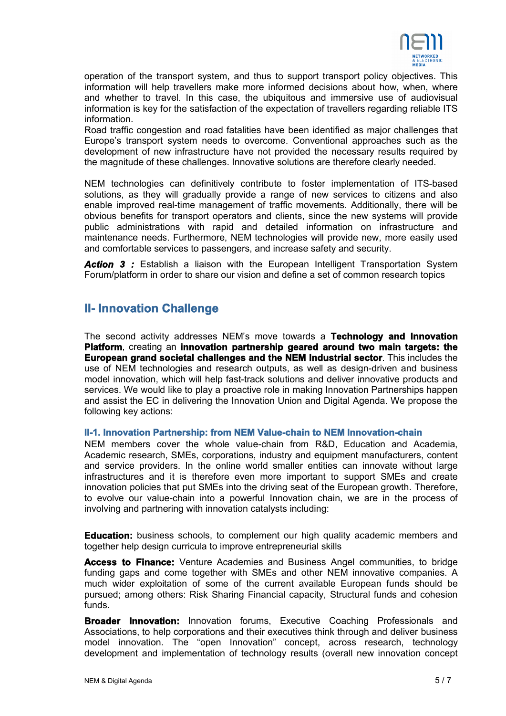

operation of the transport system, and thus to support transport policy objectives. This information will help travellers make more informed decisions about how, when, where and whether to travel. In this case, the ubiquitous and immersive use of audiovisual information is key for the satisfaction of the expectation of travellers regarding reliable ITS information.

Road traffic congestion and road fatalities have been identified as major challenges that Europe's transport system needs to overcome. Conventional approaches such as the development of new infrastructure have not provided the necessary results required by the magnitude of these challenges. Innovative solutions are therefore clearly needed.

NEM technologies can definitively contribute to foster implementation of ITS-based solutions, as they will gradually provide a range of new services to citizens and also enable improved real-time management of traffic movements. Additionally, there will be obvious benefits for transport operators and clients, since the new systems will provide public administrations with rapid and detailed information on infrastructure and maintenance needs. Furthermore, NEM technologies will provide new, more easily used and comfortable services to passengers, and increase safety and security.

**Action 3** : Establish a liaison with the European Intelligent Transportation System Forum/platform in order to share our vision and define a set of common research topics

# **II- Innovation Challenge**

The second activity addresses NEM's move towards a **Technology and Innovation Platform**, creating an **innovation partnership geared around two main targets: the European grand societal challenges and the NEM Industrial sector**. This includes the use of NEM technologies and research outputs, as well as design-driven and business model innovation, which will help fast-track solutions and deliver innovative products and services. We would like to play a proactive role in making Innovation Partnerships happen and assist the EC in delivering the Innovation Union and Digital Agenda. We propose the following key actions:

# **II-1. Innovation Partnership: from NEM Value-chain to NEM Innovation-chain**

NEM members cover the whole value-chain from R&D, Education and Academia, Academic research, SMEs, corporations, industry and equipment manufacturers, content and service providers. In the online world smaller entities can innovate without large infrastructures and it is therefore even more important to support SMEs and create innovation policies that put SMEs into the driving seat of the European growth. Therefore, to evolve our value-chain into a powerful Innovation chain, we are in the process of involving and partnering with innovation catalysts including:

**Education:** business schools, to complement our high quality academic members and together help design curricula to improve entrepreneurial skills

**Access to Finance:** Venture Academies and Business Angel communities, to bridge funding gaps and come together with SMEs and other NEM innovative companies. A much wider exploitation of some of the current available European funds should be pursued; among others: Risk Sharing Financial capacity, Structural funds and cohesion funds.

**Broader Innovation:** Innovation forums, Executive Coaching Professionals and Associations, to help corporations and their executives think through and deliver business model innovation. The "open Innovation" concept, across research, technology development and implementation of technology results (overall new innovation concept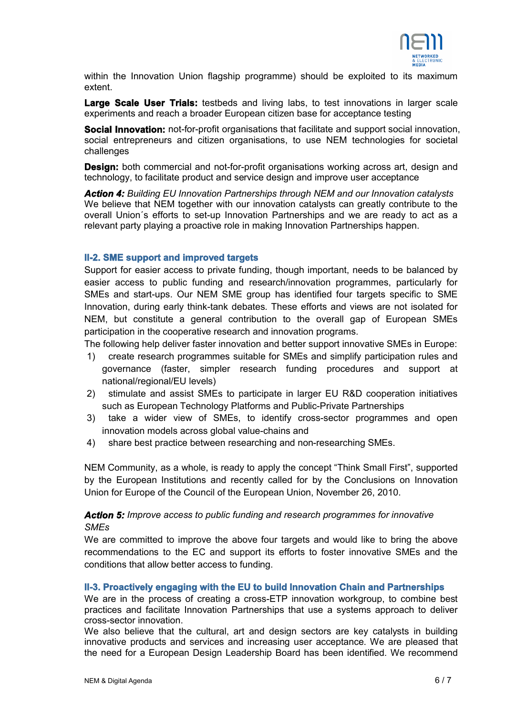

within the Innovation Union flagship programme) should be exploited to its maximum extent.

Large Scale User Trials: testbeds and living labs, to test innovations in larger scale experiments and reach a broader European citizen base for acceptance testing

**Social Innovation:** not-for-profit organisations that facilitate and support social innovation, social entrepreneurs and citizen organisations, to use NEM technologies for societal challenges

**Design:** both commercial and not-for-profit organisations working across art, design and technology, to facilitate product and service design and improve user acceptance

*Action 4: Building EU Innovation Partnerships through NEM and our Innovation catalysts* We believe that NEM together with our innovation catalysts can greatly contribute to the overall Union´s efforts to set-up Innovation Partnerships and we are ready to act as a relevant party playing a proactive role in making Innovation Partnerships happen.

## **II-2. SME support and improved targets**

Support for easier access to private funding, though important, needs to be balanced by easier access to public funding and research/innovation programmes, particularly for SMEs and start-ups. Our NEM SME group has identified four targets specific to SME Innovation, during early think-tank debates. These efforts and views are not isolated for NEM, but constitute a general contribution to the overall gap of European SMEs participation in the cooperative research and innovation programs.

The following help deliver faster innovation and better support innovative SMEs in Europe:

- 1) create research programmes suitable for SMEs and simplify participation rules and governance (faster, simpler research funding procedures and support at national/regional/EU levels)
- 2) stimulate and assist SMEs to participate in larger EU R&D cooperation initiatives such as European Technology Platforms and Public-Private Partnerships
- 3) take a wider view of SMEs, to identify cross-sector programmes and open innovation models across global value-chains and
- 4) share best practice between researching and non-researching SMEs.

NEM Community, as a whole, is ready to apply the concept "Think Small First", supported by the European Institutions and recently called for by the Conclusions on Innovation Union for Europe of the Council of the European Union, November 26, 2010.

# *Action 5: Improve access to public funding and research programmes for innovative SMEs*

We are committed to improve the above four targets and would like to bring the above recommendations to the EC and support its efforts to foster innovative SMEs and the conditions that allow better access to funding.

#### **II-3. Proactively engaging with the EU to build Innovation Chain and Partnerships**

We are in the process of creating a cross-ETP innovation workgroup, to combine best practices and facilitate Innovation Partnerships that use a systems approach to deliver cross-sector innovation.

We also believe that the cultural, art and design sectors are key catalysts in building innovative products and services and increasing user acceptance. We are pleased that the need for a European Design Leadership Board has been identified. We recommend